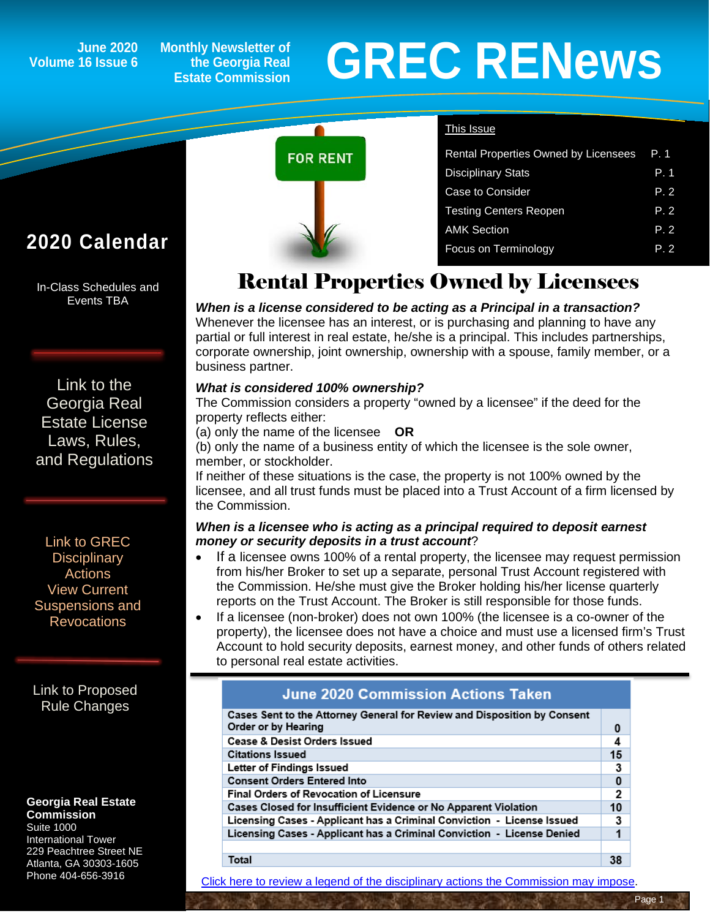## **Volume 16 Issue 6**

**Monthly Newsletter of the Georgia Real Estate Commission**

# **GREC RENEWS**<br> **GREC RENEWS**<br> **Estate Commission**

Rental Properties Owned by Licensees P. 1 Disciplinary Stats **P. 1** Case to Consider **P. 2** Testing Centers Reopen P. 2 AMK Section P. 2

This Issue

## **2020 Calendar Property Allen Calendar Focus on Terminology** P. 2

In-Class Schedules and Events TBA

[Link to the](https://grec.state.ga.us/information-research/license-law/)  [Georgia Real](https://grec.state.ga.us/information-research/license-law/)  [Estate License](https://grec.state.ga.us/information-research/license-law/)  [Laws, Rules,](https://grec.state.ga.us/information-research/license-law/)  [and Regulations](https://grec.state.ga.us/information-research/license-law/)

[Link to GREC](http://www.grec.state.ga.us/about/resanctions.html)  **Disciplinary** [Actions](http://www.grec.state.ga.us/about/resanctions.html) View Current [Suspensions and](https://grec.state.ga.us/information-research/disciplinary-actions/real-estate/)  **Revocations** 

[Link to Proposed](https://grec.state.ga.us/information-research/legislation/real-estate/)  [Rule Changes](https://grec.state.ga.us/information-research/legislation/real-estate/)

#### **Georgia Real Estate Commission**

Suite 1000 International Tower 229 Peachtree Street NE Atlanta, GA 30303-1605 Phone 404-656-3916

## [Rental](https://grec.state.ga.us/) Properties Owned by Licensees

*When is a license considered to be acting as a Principal in a transaction?* Whenever the licensee has an interest, or is purchasing and planning to have any partial or full interest in real estate, he/she is a principal. This includes partnerships, corporate ownership, joint ownership, ownership with a spouse, family member, or a business partner.

#### *What is considered 100% ownership?*

The Commission considers a property "owned by a licensee" if the deed for the property reflects either:

(a) only the name of the licensee **OR**

(b) only the name of a business entity of which the licensee is the sole owner, member, or stockholder.

If neither of these situations is the case, the property is not 100% owned by the licensee, and all trust funds must be placed into a Trust Account of a firm licensed by the Commission.

#### *When is a licensee who is acting as a principal required to deposit earnest money or security deposits in a trust account*?

- If a licensee owns 100% of a rental property, the licensee may request permission from his/her Broker to set up a separate, personal Trust Account registered with the Commission. He/she must give the Broker holding his/her license quarterly reports on the Trust Account. The Broker is still responsible for those funds.
- If a licensee (non-broker) does not own 100% (the licensee is a co-owner of the property), the licensee does not have a choice and must use a licensed firm's Trust Account to hold security deposits, earnest money, and other funds of others related to personal real estate activities.

#### **June 2020 Commission Actions Taken**

| Cases Sent to the Attorney General for Review and Disposition by Consent<br>Order or by Hearing |          |
|-------------------------------------------------------------------------------------------------|----------|
|                                                                                                 | $\bf{0}$ |
| <b>Cease &amp; Desist Orders Issued</b>                                                         | 4        |
| <b>Citations Issued</b>                                                                         | 15       |
| Letter of Findings Issued                                                                       | 3        |
| <b>Consent Orders Entered Into</b>                                                              | 0        |
| <b>Final Orders of Revocation of Licensure</b>                                                  | 2        |
| Cases Closed for Insufficient Evidence or No Apparent Violation                                 | 10       |
| Licensing Cases - Applicant has a Criminal Conviction - License Issued                          | 3        |
| Licensing Cases - Applicant has a Criminal Conviction - License Denied                          |          |
|                                                                                                 |          |
| Total                                                                                           |          |

[Click here to review a legend of the disciplinary actions the Commission may impose.](https://www.jmre.com/grec/GRECDisciplinaryTools.pdf)